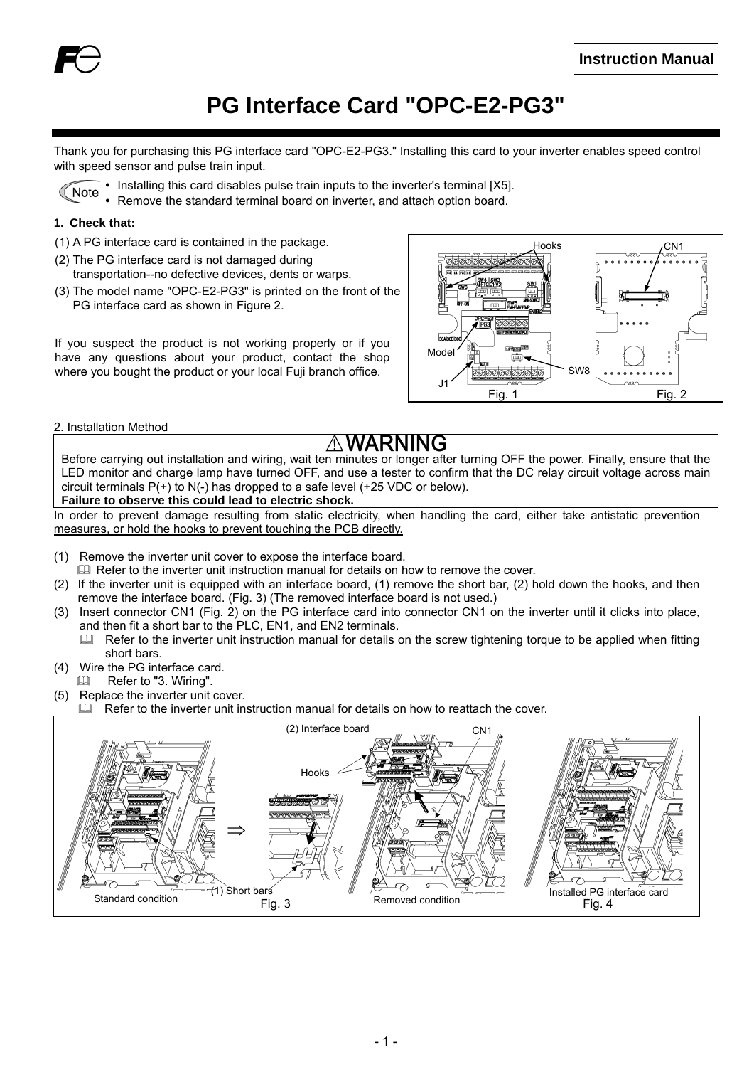

# **PG Interface Card "OPC-E2-PG3"**

Thank you for purchasing this PG interface card "OPC-E2-PG3." Installing this card to your inverter enables speed control with speed sensor and pulse train input.

- Installing this card disables pulse train inputs to the inverter's terminal [X5]. Note
	- Remove the standard terminal board on inverter, and attach option board.

#### **1. Check that:**

- (1) A PG interface card is contained in the package.
- (2) The PG interface card is not damaged during transportation--no defective devices, dents or warps.
- (3) The model name "OPC-E2-PG3" is printed on the front of the PG interface card as shown in Figure 2.

If you suspect the product is not working properly or if you have any questions about your product, contact the shop where you bought the product or your local Fuji branch office.



2. Installation Method

Before carrying out installation and wiring, wait ten minutes or longer after turning OFF the power. Finally, ensure that the LED monitor and charge lamp have turned OFF, and use a tester to confirm that the DC relay circuit voltage across main circuit terminals P(+) to N(-) has dropped to a safe level (+25 VDC or below). **Failure to observe this could lead to electric shock.** 

In order to prevent damage resulting from static electricity, when handling the card, either take antistatic prevention measures, or hold the hooks to prevent touching the PCB directly.

- (1) Remove the inverter unit cover to expose the interface board.
- E Refer to the inverter unit instruction manual for details on how to remove the cover.
- (2) If the inverter unit is equipped with an interface board, (1) remove the short bar, (2) hold down the hooks, and then remove the interface board. (Fig. 3) (The removed interface board is not used.)
- (3) Insert connector CN1 (Fig. 2) on the PG interface card into connector CN1 on the inverter until it clicks into place, and then fit a short bar to the PLC, EN1, and EN2 terminals.
	- $\Box$  Refer to the inverter unit instruction manual for details on the screw tightening torque to be applied when fitting short bars.
- (4) Wire the PG interface card. Refer to "3. Wiring".
- (5) Replace the inverter unit cover.
- Refer to the inverter unit instruction manual for details on how to reattach the cover.

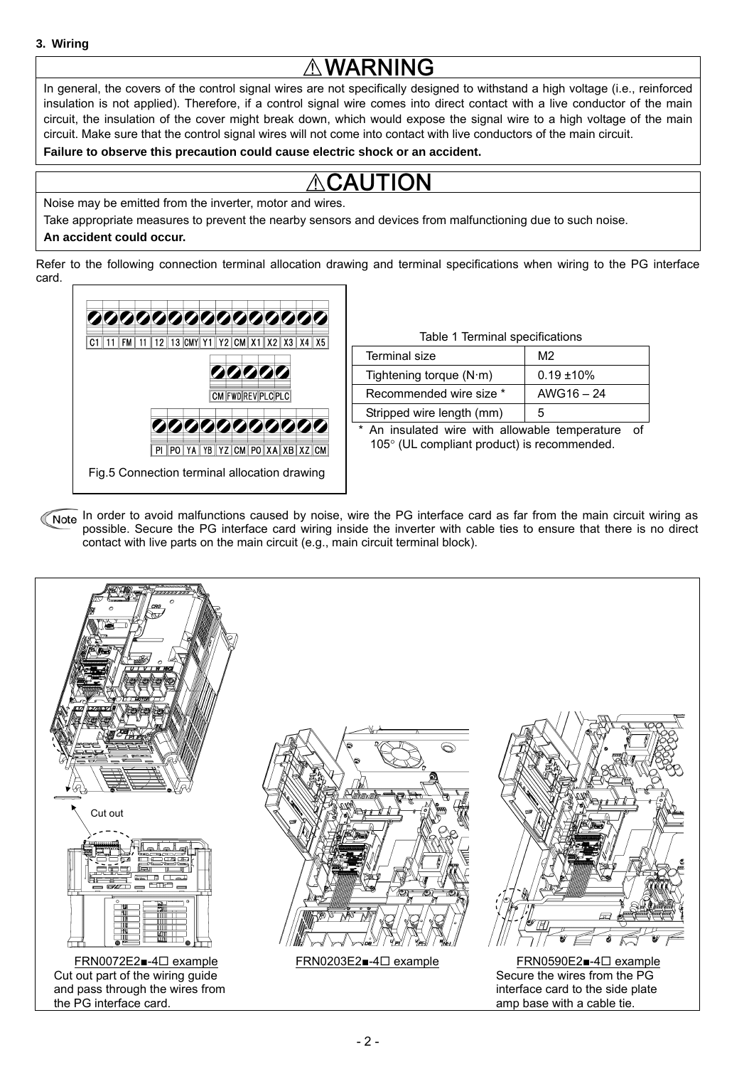# **WARNING**

In general, the covers of the control signal wires are not specifically designed to withstand a high voltage (i.e., reinforced insulation is not applied). Therefore, if a control signal wire comes into direct contact with a live conductor of the main circuit, the insulation of the cover might break down, which would expose the signal wire to a high voltage of the main circuit. Make sure that the control signal wires will not come into contact with live conductors of the main circuit.

**Failure to observe this precaution could cause electric shock or an accident.**

# **CAUTION**

Noise may be emitted from the inverter, motor and wires.

Take appropriate measures to prevent the nearby sensors and devices from malfunctioning due to such noise.

### **An accident could occur.**

Refer to the following connection terminal allocation drawing and terminal specifications when wiring to the PG interface card.



| Table 1 Terminal specifications |               |  |
|---------------------------------|---------------|--|
| Terminal size                   | M2            |  |
| Tightening torque $(N \cdot m)$ | $0.19 + 10\%$ |  |
| Recommended wire size *         | $AWG16 - 24$  |  |
| Stripped wire length (mm)       |               |  |

\* An insulated wire with allowable temperature of 105° (UL compliant product) is recommended.

Note In order to avoid malfunctions caused by noise, wire the PG interface card as far from the main circuit wiring as possible. Secure the PG interface card wiring inside the inverter with cable ties to ensure that there is no direct contact with live parts on the main circuit (e.g., main circuit terminal block).



- 2 -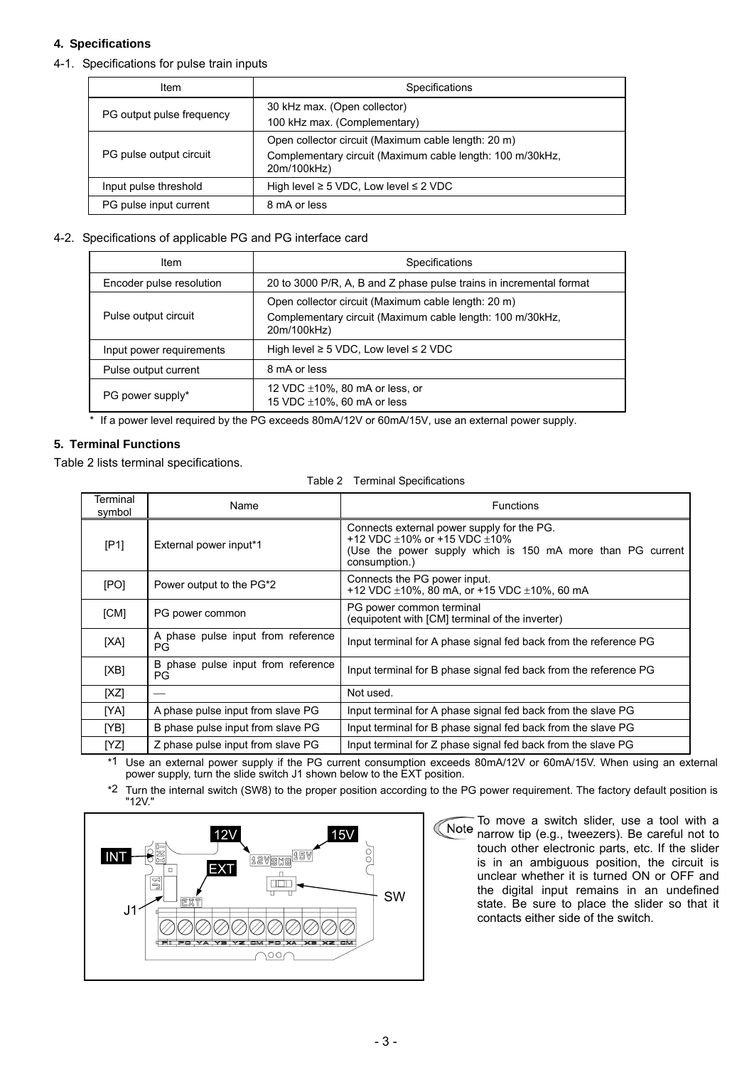#### **4. Specifications**

4-1. Specifications for pulse train inputs

| Item                      | Specifications                                                                                                                  |
|---------------------------|---------------------------------------------------------------------------------------------------------------------------------|
| PG output pulse frequency | 30 kHz max. (Open collector)<br>100 kHz max. (Complementary)                                                                    |
| PG pulse output circuit   | Open collector circuit (Maximum cable length: 20 m)<br>Complementary circuit (Maximum cable length: 100 m/30kHz,<br>20m/100kHz) |
| Input pulse threshold     | High level $\geq$ 5 VDC, Low level $\leq$ 2 VDC                                                                                 |
| PG pulse input current    | 8 mA or less                                                                                                                    |

#### 4-2. Specifications of applicable PG and PG interface card

| <b>Item</b>              | Specifications                                                                                                                  |
|--------------------------|---------------------------------------------------------------------------------------------------------------------------------|
| Encoder pulse resolution | 20 to 3000 P/R, A, B and Z phase pulse trains in incremental format                                                             |
| Pulse output circuit     | Open collector circuit (Maximum cable length: 20 m)<br>Complementary circuit (Maximum cable length: 100 m/30kHz,<br>20m/100kHz) |
| Input power requirements | High level $\geq$ 5 VDC, Low level $\leq$ 2 VDC                                                                                 |
| Pulse output current     | 8 mA or less                                                                                                                    |
| PG power supply*         | 12 VDC $\pm$ 10%, 80 mA or less, or<br>15 VDC $\pm$ 10%, 60 mA or less                                                          |

If a power level required by the PG exceeds 80mA/12V or 60mA/15V, use an external power supply.

#### **5. Terminal Functions**

Table 2 lists terminal specifications.

| Terminal<br>symbol | Name                                     | <b>Functions</b>                                                                                                                                                    |
|--------------------|------------------------------------------|---------------------------------------------------------------------------------------------------------------------------------------------------------------------|
| [P1]               | External power input*1                   | Connects external power supply for the PG.<br>+12 VDC $\pm$ 10% or +15 VDC $\pm$ 10%<br>(Use the power supply which is 150 mA more than PG current<br>consumption.) |
| [PO]               | Power output to the PG*2                 | Connects the PG power input.<br>+12 VDC $\pm$ 10%, 80 mA, or +15 VDC $\pm$ 10%, 60 mA                                                                               |
| [CM]               | PG power common                          | PG power common terminal<br>(equipotent with [CM] terminal of the inverter)                                                                                         |
| [XA]               | A phase pulse input from reference<br>PG | Input terminal for A phase signal fed back from the reference PG                                                                                                    |
| [XB]               | B phase pulse input from reference<br>PG | Input terminal for B phase signal fed back from the reference PG                                                                                                    |
| [XZ]               |                                          | Not used.                                                                                                                                                           |
| [YA]               | A phase pulse input from slave PG        | Input terminal for A phase signal fed back from the slave PG                                                                                                        |
| [YB]               | B phase pulse input from slave PG        | Input terminal for B phase signal fed back from the slave PG                                                                                                        |
| [YZ]               | Z phase pulse input from slave PG        | Input terminal for Z phase signal fed back from the slave PG                                                                                                        |

\*1 Use an external power supply if the PG current consumption exceeds 80mA/12V or 60mA/15V. When using an external power supply, turn the slide switch J1 shown below to the EXT position.

\*2 Turn the internal switch (SW8) to the proper position according to the PG power requirement. The factory default position is "12V."



To move a switch slider, use a tool with a Note narrow tip (e.g., tweezers). Be careful not to touch other electronic parts, etc. If the slider is in an ambiguous position, the circuit is unclear whether it is turned ON or OFF and the digital input remains in an undefined state. Be sure to place the slider so that it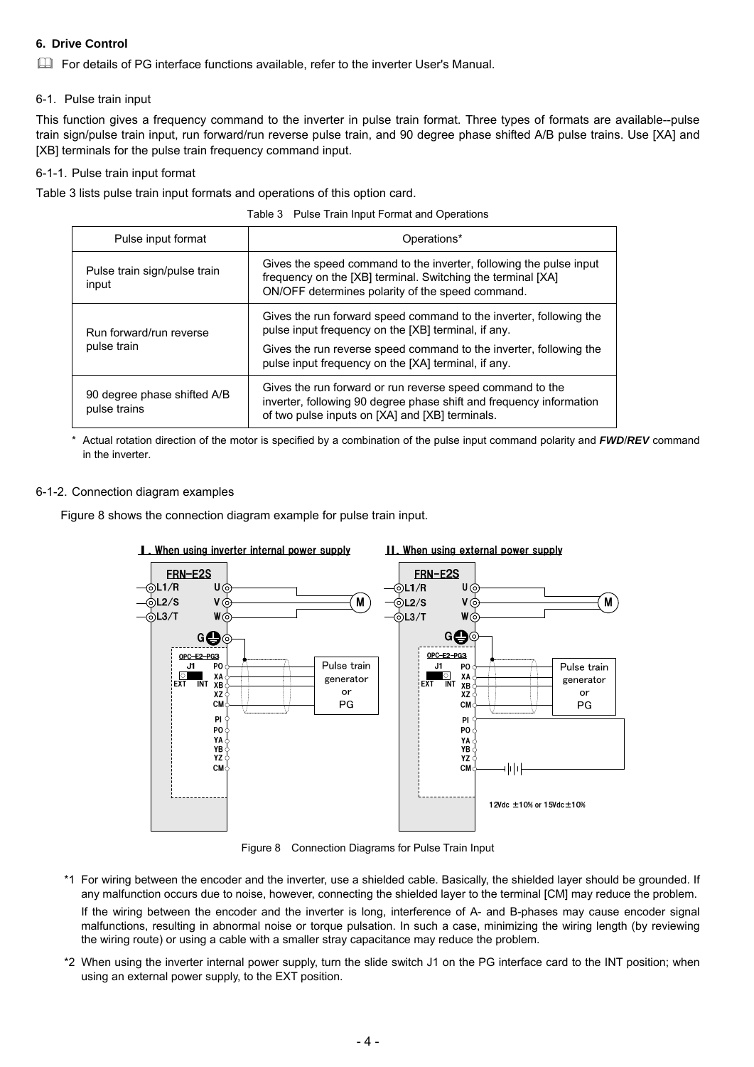#### **6. Drive Control**

For details of PG interface functions available, refer to the inverter User's Manual.

#### 6-1. Pulse train input

This function gives a frequency command to the inverter in pulse train format. Three types of formats are available--pulse train sign/pulse train input, run forward/run reverse pulse train, and 90 degree phase shifted A/B pulse trains. Use [XA] and [XB] terminals for the pulse train frequency command input.

#### 6-1-1. Pulse train input format

Table 3 lists pulse train input formats and operations of this option card.

Table 3 Pulse Train Input Format and Operations

| Pulse input format                          | Operations*                                                                                                                                                                           |
|---------------------------------------------|---------------------------------------------------------------------------------------------------------------------------------------------------------------------------------------|
| Pulse train sign/pulse train<br>input       | Gives the speed command to the inverter, following the pulse input<br>frequency on the [XB] terminal. Switching the terminal [XA]<br>ON/OFF determines polarity of the speed command. |
| Run forward/run reverse                     | Gives the run forward speed command to the inverter, following the<br>pulse input frequency on the [XB] terminal, if any.                                                             |
| pulse train                                 | Gives the run reverse speed command to the inverter, following the<br>pulse input frequency on the [XA] terminal, if any.                                                             |
| 90 degree phase shifted A/B<br>pulse trains | Gives the run forward or run reverse speed command to the<br>inverter, following 90 degree phase shift and frequency information<br>of two pulse inputs on [XA] and [XB] terminals.   |

\* Actual rotation direction of the motor is specified by a combination of the pulse input command polarity and *FWD*/*REV* command in the inverter.

#### 6-1-2. Connection diagram examples

Figure 8 shows the connection diagram example for pulse train input.



Figure 8 Connection Diagrams for Pulse Train Input

- \*1 For wiring between the encoder and the inverter, use a shielded cable. Basically, the shielded layer should be grounded. If any malfunction occurs due to noise, however, connecting the shielded layer to the terminal [CM] may reduce the problem. If the wiring between the encoder and the inverter is long, interference of A- and B-phases may cause encoder signal malfunctions, resulting in abnormal noise or torque pulsation. In such a case, minimizing the wiring length (by reviewing the wiring route) or using a cable with a smaller stray capacitance may reduce the problem.
- \*2 When using the inverter internal power supply, turn the slide switch J1 on the PG interface card to the INT position; when using an external power supply, to the EXT position.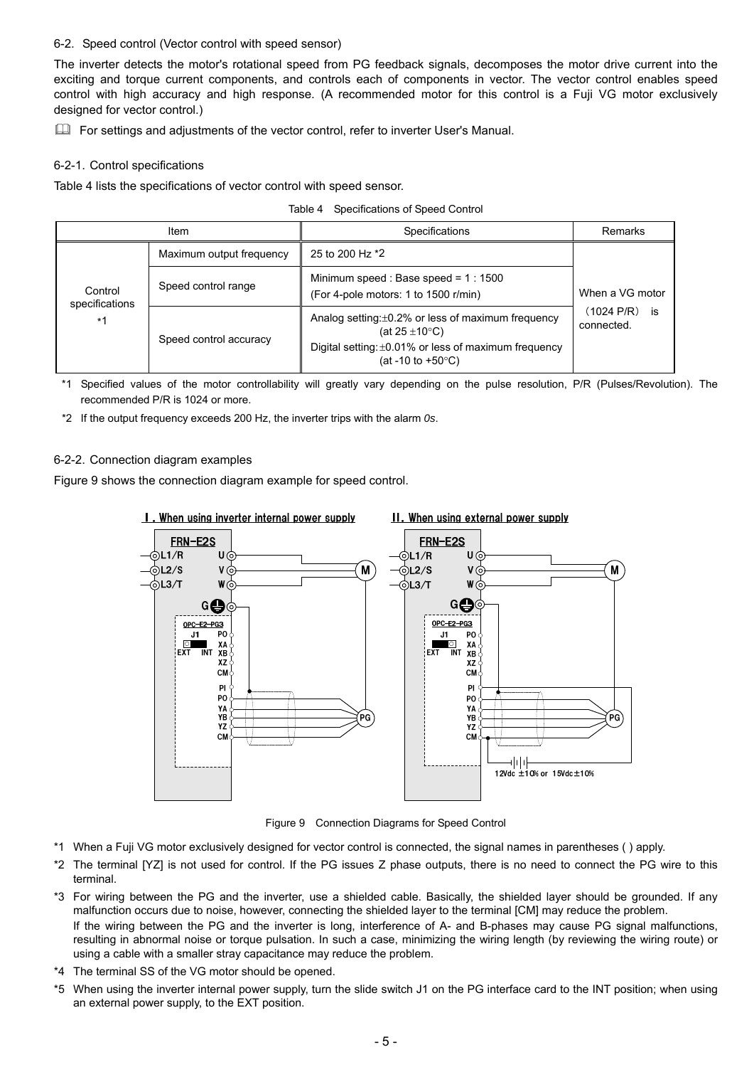#### 6-2. Speed control (Vector control with speed sensor)

The inverter detects the motor's rotational speed from PG feedback signals, decomposes the motor drive current into the exciting and torque current components, and controls each of components in vector. The vector control enables speed control with high accuracy and high response. (A recommended motor for this control is a Fuji VG motor exclusively designed for vector control.)

For settings and adjustments of the vector control, refer to inverter User's Manual.

#### 6-2-1. Control specifications

Table 4 lists the specifications of vector control with speed sensor.

| Table 4 Specifications of Speed Control |
|-----------------------------------------|
|                                         |

|                                   | Item                     | <b>Specifications</b>                                                                                                                                                          | Remarks                                           |
|-----------------------------------|--------------------------|--------------------------------------------------------------------------------------------------------------------------------------------------------------------------------|---------------------------------------------------|
| Control<br>specifications<br>$*1$ | Maximum output frequency | 25 to 200 Hz *2                                                                                                                                                                | When a VG motor<br>(1024 P/R)<br>İS<br>connected. |
|                                   | Speed control range      | Minimum speed: Base speed = $1:1500$<br>(For 4-pole motors: 1 to 1500 r/min)                                                                                                   |                                                   |
|                                   | Speed control accuracy   | Analog setting: ±0.2% or less of maximum frequency<br>(at $25 \pm 10^{\circ}$ C)<br>Digital setting: $\pm 0.01\%$ or less of maximum frequency<br>(at -10 to +50 $^{\circ}$ C) |                                                   |

\*1 Specified values of the motor controllability will greatly vary depending on the pulse resolution, P/R (Pulses/Revolution). The recommended P/R is 1024 or more.

\*2 If the output frequency exceeds 200 Hz, the inverter trips with the alarm *0s*.

#### 6-2-2. Connection diagram examples

Figure 9 shows the connection diagram example for speed control.



Figure 9 Connection Diagrams for Speed Control

- \*1 When a Fuji VG motor exclusively designed for vector control is connected, the signal names in parentheses ( ) apply.
- \*2 The terminal [YZ] is not used for control. If the PG issues Z phase outputs, there is no need to connect the PG wire to this terminal.
- \*3 For wiring between the PG and the inverter, use a shielded cable. Basically, the shielded layer should be grounded. If any malfunction occurs due to noise, however, connecting the shielded layer to the terminal [CM] may reduce the problem. If the wiring between the PG and the inverter is long, interference of A- and B-phases may cause PG signal malfunctions, resulting in abnormal noise or torque pulsation. In such a case, minimizing the wiring length (by reviewing the wiring route) or using a cable with a smaller stray capacitance may reduce the problem.
- \*4 The terminal SS of the VG motor should be opened.
- \*5 When using the inverter internal power supply, turn the slide switch J1 on the PG interface card to the INT position; when using an external power supply, to the EXT position.